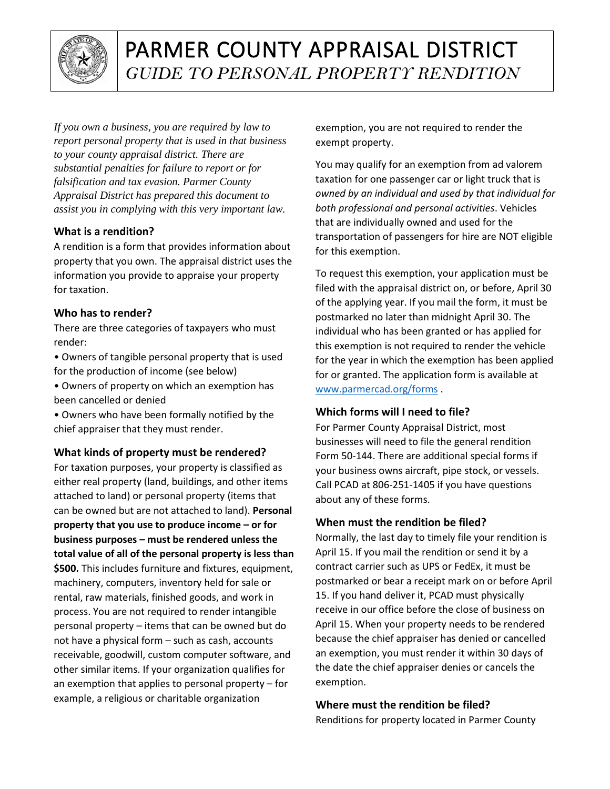

# PARMER COUNTY APPRAISAL DISTRICT *GUIDE TO PERSONAL PROPERTY RENDITION*

*If you own a business, you are required by law to report personal property that is used in that business to your county appraisal district. There are substantial penalties for failure to report or for falsification and tax evasion. Parmer County Appraisal District has prepared this document to assist you in complying with this very important law.*

## **What is a rendition?**

A rendition is a form that provides information about property that you own. The appraisal district uses the information you provide to appraise your property for taxation.

## **Who has to render?**

There are three categories of taxpayers who must render:

- Owners of tangible personal property that is used for the production of income (see below)
- Owners of property on which an exemption has been cancelled or denied

• Owners who have been formally notified by the chief appraiser that they must render.

# **What kinds of property must be rendered?**

For taxation purposes, your property is classified as either real property (land, buildings, and other items attached to land) or personal property (items that can be owned but are not attached to land). **Personal property that you use to produce income – or for business purposes – must be rendered unless the total value of all of the personal property is less than \$500.** This includes furniture and fixtures, equipment, machinery, computers, inventory held for sale or rental, raw materials, finished goods, and work in process. You are not required to render intangible personal property – items that can be owned but do not have a physical form – such as cash, accounts receivable, goodwill, custom computer software, and other similar items. If your organization qualifies for an exemption that applies to personal property – for example, a religious or charitable organization

exemption, you are not required to render the exempt property.

You may qualify for an exemption from ad valorem taxation for one passenger car or light truck that is *owned by an individual and used by that individual for both professional and personal activities*. Vehicles that are individually owned and used for the transportation of passengers for hire are NOT eligible for this exemption.

To request this exemption, your application must be filed with the appraisal district on, or before, April 30 of the applying year. If you mail the form, it must be postmarked no later than midnight April 30. The individual who has been granted or has applied for this exemption is not required to render the vehicle for the year in which the exemption has been applied for or granted. The application form is available at [www.parmercad.org/forms](http://www.parmercad.org/forms) .

## **Which forms will I need to file?**

For Parmer County Appraisal District, most businesses will need to file the general rendition Form 50-144. There are additional special forms if your business owns aircraft, pipe stock, or vessels. Call PCAD at 806-251-1405 if you have questions about any of these forms.

# **When must the rendition be filed?**

Normally, the last day to timely file your rendition is April 15. If you mail the rendition or send it by a contract carrier such as UPS or FedEx, it must be postmarked or bear a receipt mark on or before April 15. If you hand deliver it, PCAD must physically receive in our office before the close of business on April 15. When your property needs to be rendered because the chief appraiser has denied or cancelled an exemption, you must render it within 30 days of the date the chief appraiser denies or cancels the exemption.

# **Where must the rendition be filed?**

Renditions for property located in Parmer County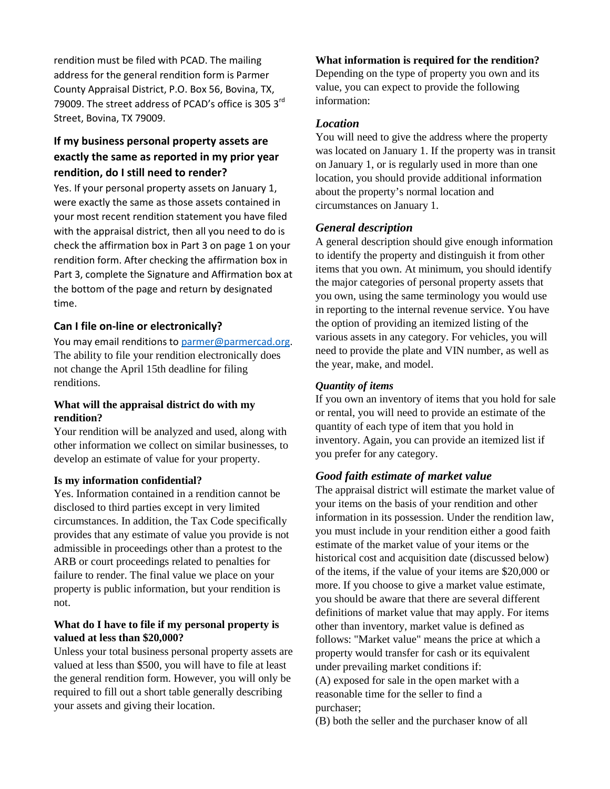rendition must be filed with PCAD. The mailing address for the general rendition form is Parmer County Appraisal District, P.O. Box 56, Bovina, TX, 79009. The street address of PCAD's office is 305 3rd Street, Bovina, TX 79009.

# **If my business personal property assets are exactly the same as reported in my prior year rendition, do I still need to render?**

Yes. If your personal property assets on January 1, were exactly the same as those assets contained in your most recent rendition statement you have filed with the appraisal district, then all you need to do is check the affirmation box in Part 3 on page 1 on your rendition form. After checking the affirmation box in Part 3, complete the Signature and Affirmation box at the bottom of the page and return by designated time.

#### **Can I file on-line or electronically?**

You may email renditions to [parmer@parmercad.org.](mailto:parmer@parmercad.org) The ability to file your rendition electronically does not change the April 15th deadline for filing renditions.

#### **What will the appraisal district do with my rendition?**

Your rendition will be analyzed and used, along with other information we collect on similar businesses, to develop an estimate of value for your property.

#### **Is my information confidential?**

Yes. Information contained in a rendition cannot be disclosed to third parties except in very limited circumstances. In addition, the Tax Code specifically provides that any estimate of value you provide is not admissible in proceedings other than a protest to the ARB or court proceedings related to penalties for failure to render. The final value we place on your property is public information, but your rendition is not.

#### **What do I have to file if my personal property is valued at less than \$20,000?**

Unless your total business personal property assets are valued at less than \$500, you will have to file at least the general rendition form. However, you will only be required to fill out a short table generally describing your assets and giving their location.

**What information is required for the rendition?**

Depending on the type of property you own and its value, you can expect to provide the following information:

#### *Location*

You will need to give the address where the property was located on January 1. If the property was in transit on January 1, or is regularly used in more than one location, you should provide additional information about the property's normal location and circumstances on January 1.

#### *General description*

A general description should give enough information to identify the property and distinguish it from other items that you own. At minimum, you should identify the major categories of personal property assets that you own, using the same terminology you would use in reporting to the internal revenue service. You have the option of providing an itemized listing of the various assets in any category. For vehicles, you will need to provide the plate and VIN number, as well as the year, make, and model.

#### *Quantity of items*

If you own an inventory of items that you hold for sale or rental, you will need to provide an estimate of the quantity of each type of item that you hold in inventory. Again, you can provide an itemized list if you prefer for any category.

## *Good faith estimate of market value*

The appraisal district will estimate the market value of your items on the basis of your rendition and other information in its possession. Under the rendition law, you must include in your rendition either a good faith estimate of the market value of your items or the historical cost and acquisition date (discussed below) of the items, if the value of your items are \$20,000 or more. If you choose to give a market value estimate, you should be aware that there are several different definitions of market value that may apply. For items other than inventory, market value is defined as follows: "Market value" means the price at which a property would transfer for cash or its equivalent under prevailing market conditions if: (A) exposed for sale in the open market with a reasonable time for the seller to find a purchaser;

(B) both the seller and the purchaser know of all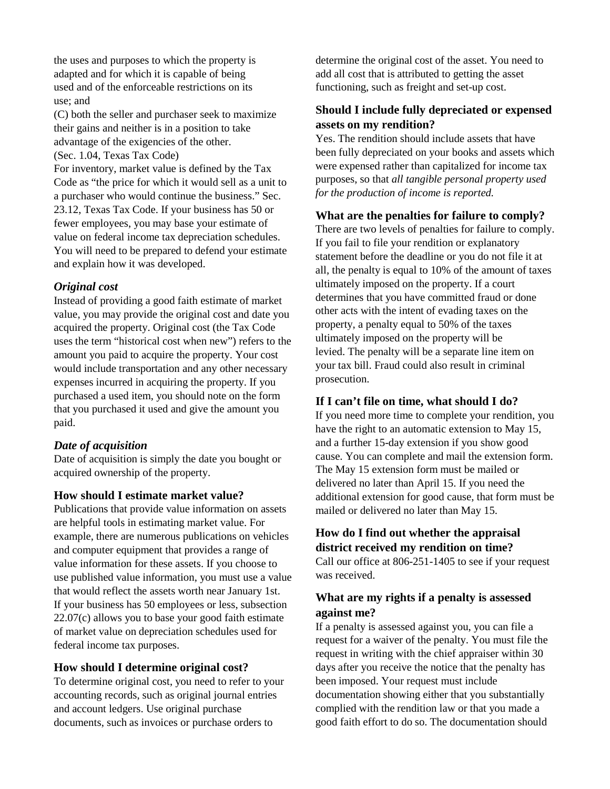the uses and purposes to which the property is adapted and for which it is capable of being used and of the enforceable restrictions on its use; and

(C) both the seller and purchaser seek to maximize their gains and neither is in a position to take advantage of the exigencies of the other. (Sec. 1.04, Texas Tax Code)

For inventory, market value is defined by the Tax Code as "the price for which it would sell as a unit to a purchaser who would continue the business." Sec. 23.12, Texas Tax Code. If your business has 50 or fewer employees, you may base your estimate of value on federal income tax depreciation schedules. You will need to be prepared to defend your estimate and explain how it was developed.

#### *Original cost*

Instead of providing a good faith estimate of market value, you may provide the original cost and date you acquired the property. Original cost (the Tax Code uses the term "historical cost when new") refers to the amount you paid to acquire the property. Your cost would include transportation and any other necessary expenses incurred in acquiring the property. If you purchased a used item, you should note on the form that you purchased it used and give the amount you paid.

#### *Date of acquisition*

Date of acquisition is simply the date you bought or acquired ownership of the property.

#### **How should I estimate market value?**

Publications that provide value information on assets are helpful tools in estimating market value. For example, there are numerous publications on vehicles and computer equipment that provides a range of value information for these assets. If you choose to use published value information, you must use a value that would reflect the assets worth near January 1st. If your business has 50 employees or less, subsection 22.07(c) allows you to base your good faith estimate of market value on depreciation schedules used for federal income tax purposes.

#### **How should I determine original cost?**

To determine original cost, you need to refer to your accounting records, such as original journal entries and account ledgers. Use original purchase documents, such as invoices or purchase orders to

determine the original cost of the asset. You need to add all cost that is attributed to getting the asset functioning, such as freight and set-up cost.

## **Should I include fully depreciated or expensed assets on my rendition?**

Yes. The rendition should include assets that have been fully depreciated on your books and assets which were expensed rather than capitalized for income tax purposes, so that *all tangible personal property used for the production of income is reported.*

#### **What are the penalties for failure to comply?**

There are two levels of penalties for failure to comply. If you fail to file your rendition or explanatory statement before the deadline or you do not file it at all, the penalty is equal to 10% of the amount of taxes ultimately imposed on the property. If a court determines that you have committed fraud or done other acts with the intent of evading taxes on the property, a penalty equal to 50% of the taxes ultimately imposed on the property will be levied. The penalty will be a separate line item on your tax bill. Fraud could also result in criminal prosecution.

#### **If I can't file on time, what should I do?**

If you need more time to complete your rendition, you have the right to an automatic extension to May 15, and a further 15-day extension if you show good cause. You can complete and mail the extension form. The May 15 extension form must be mailed or delivered no later than April 15. If you need the additional extension for good cause, that form must be mailed or delivered no later than May 15.

# **How do I find out whether the appraisal district received my rendition on time?**

Call our office at 806-251-1405 to see if your request was received.

## **What are my rights if a penalty is assessed against me?**

If a penalty is assessed against you, you can file a request for a waiver of the penalty. You must file the request in writing with the chief appraiser within 30 days after you receive the notice that the penalty has been imposed. Your request must include documentation showing either that you substantially complied with the rendition law or that you made a good faith effort to do so. The documentation should